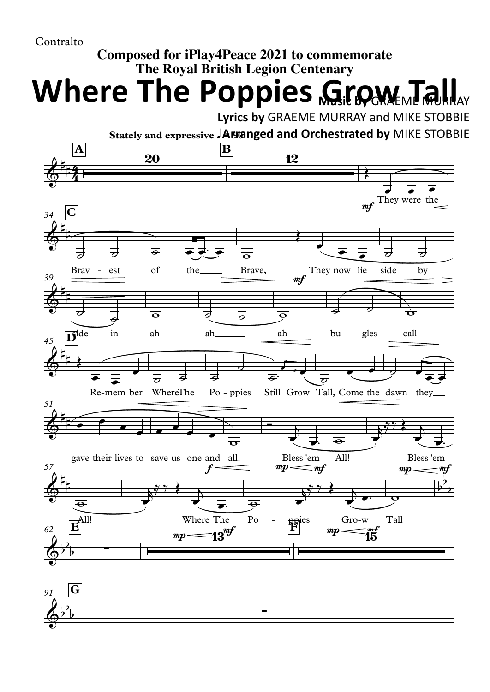## Contralto

## **Composed for iPlay4Peace 2021 to commemorate The Royal British Legion Centenary**

**Where The Poppies Growfiell** 

**Lyrics by** GRAEME MURRAY and MIKE STOBBIE

**Stately and expressive** q**= 90 Arranged and Orchestrated by** MIKE STOBBIE



*91* **G**  $\phi^{\flat}$  $\overline{b}$  $\overline{)}$